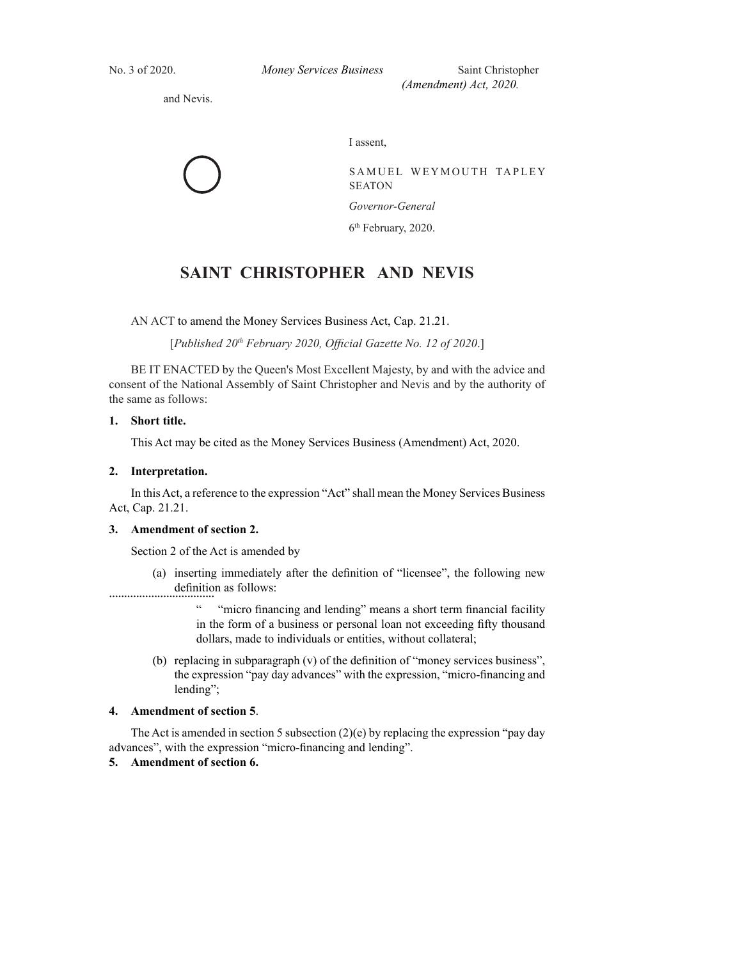*Money Services Business (Amendment) Act, 2020 - 3.*  No. 3 of 2020. *Money Services Business* Saint Christopher *(Amendment) Act, 2020.* 

and Nevis.

I assent,

SAMUEL WEYMOUTH TAPLEY SEATON *Governor-General*

6<sup>th</sup> February, 2020.

# **SAINT CHRISTOPHER AND NEVIS**

AN ACT to amend the Money Services Business Act, Cap. 21.21.

[Published 20<sup>th</sup> February 2020, Official Gazette No. 12 of 2020.]

BE IT ENACTED by the Queen's Most Excellent Majesty, by and with the advice and consent of the National Assembly of Saint Christopher and Nevis and by the authority of the same as follows:

# **1. Short title.**

This Act may be cited as the Money Services Business (Amendment) Act, 2020.

# **2. Interpretation.**

 In this Act, a reference to the expression "Act" shall mean the Money Services Business Act, Cap. 21.21.

#### **3. Amendment of section 2.**

Section 2 of the Act is amended by

................................... (a) inserting immediately after the definition of "licensee", the following new definition as follows:

> "micro financing and lending" means a short term financial facility in the form of a business or personal loan not exceeding fifty thousand dollars, made to individuals or entities, without collateral;

(b) replacing in subparagraph  $(v)$  of the definition of "money services business", the expression "pay day advances" with the expression, "micro-financing and lending";

# **4. Amendment of section 5**.

The Act is amended in section 5 subsection  $(2)(e)$  by replacing the expression "pay day advances", with the expression "micro-financing and lending".

# **5. Amendment of section 6.**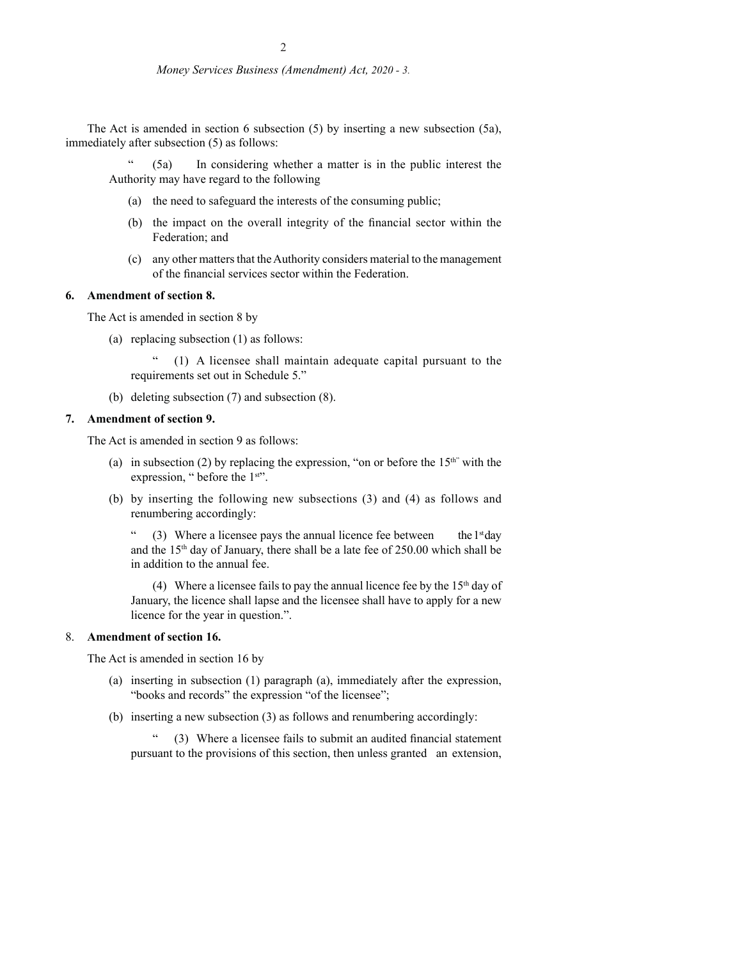#### *Money Services Business (Amendment) Act, 2020 - 3.*

The Act is amended in section 6 subsection (5) by inserting a new subsection (5a), immediately after subsection (5) as follows:

(5a) In considering whether a matter is in the public interest the Authority may have regard to the following

- (a) the need to safeguard the interests of the consuming public;
- (b) the impact on the overall integrity of the financial sector within the Federation; and
- (c) any other matters that the Authority considers material to the management of the financial services sector within the Federation.

# **6. Amendment of section 8.**

The Act is amended in section 8 by

(a) replacing subsection (1) as follows:

 " (1) A licensee shall maintain adequate capital pursuant to the requirements set out in Schedule 5."

(b) deleting subsection (7) and subsection (8).

# **7. Amendment of section 9.**

The Act is amended in section 9 as follows:

- (a) in subsection (2) by replacing the expression, "on or before the  $15<sup>th</sup>$ " with the expression, " before the 1<sup>st"</sup>.
- (b) by inserting the following new subsections (3) and (4) as follows and renumbering accordingly:

" (3) Where a licensee pays the annual licence fee between the  $1<sup>st</sup>$  day and the  $15<sup>th</sup>$  day of January, there shall be a late fee of 250.00 which shall be in addition to the annual fee.

(4) Where a licensee fails to pay the annual licence fee by the  $15<sup>th</sup>$  day of January, the licence shall lapse and the licensee shall have to apply for a new licence for the year in question.".

#### 8. **Amendment of section 16.**

The Act is amended in section 16 by

- (a) inserting in subsection (1) paragraph (a), immediately after the expression, "books and records" the expression "of the licensee";
- (b) inserting a new subsection (3) as follows and renumbering accordingly:

 $(3)$  Where a licensee fails to submit an audited financial statement pursuant to the provisions of this section, then unless granted an extension,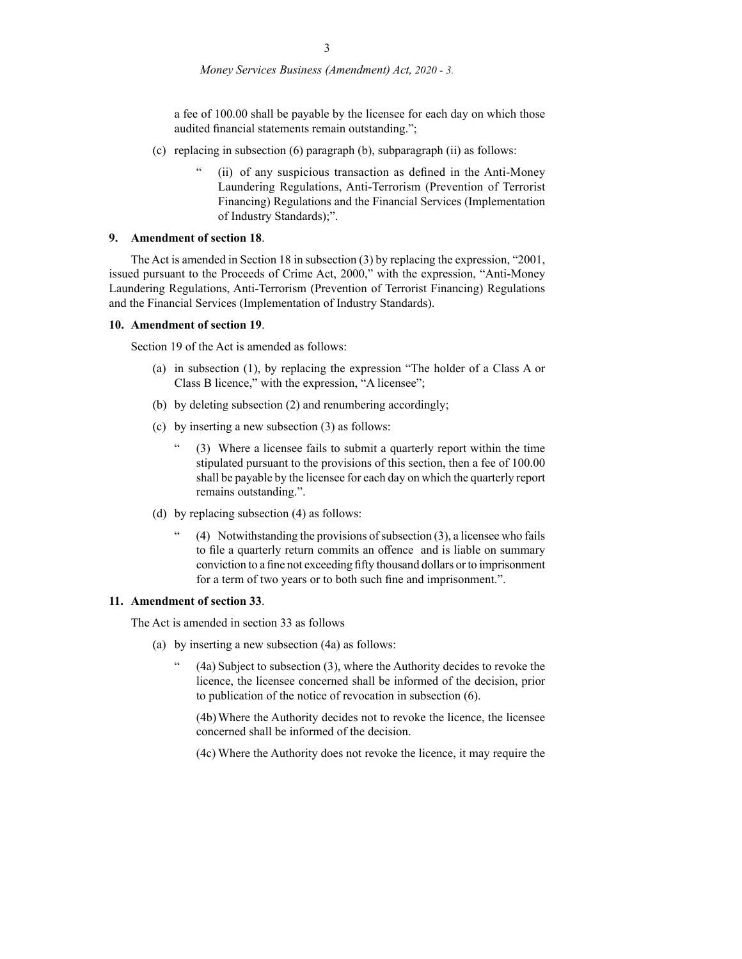*Money Services Business (Amendment) Act, 2020 - 3.* 

a fee of 100.00 shall be payable by the licensee for each day on which those audited financial statements remain outstanding.";

- (c) replacing in subsection (6) paragraph (b), subparagraph (ii) as follows:
	- (ii) of any suspicious transaction as defined in the Anti-Money Laundering Regulations, Anti-Terrorism (Prevention of Terrorist Financing) Regulations and the Financial Services (Implementation of Industry Standards);".

#### **9. Amendment of section 18**.

 The Act is amended in Section 18 in subsection (3) by replacing the expression, "2001, issued pursuant to the Proceeds of Crime Act, 2000," with the expression, "Anti-Money Laundering Regulations, Anti-Terrorism (Prevention of Terrorist Financing) Regulations and the Financial Services (Implementation of Industry Standards).

#### **10. Amendment of section 19**.

Section 19 of the Act is amended as follows:

- (a) in subsection (1), by replacing the expression "The holder of a Class A or Class B licence," with the expression, "A licensee";
- (b) by deleting subsection (2) and renumbering accordingly;
- (c) by inserting a new subsection (3) as follows:
	- (3) Where a licensee fails to submit a quarterly report within the time stipulated pursuant to the provisions of this section, then a fee of 100.00 shall be payable by the licensee for each day on which the quarterly report remains outstanding.".
- (d) by replacing subsection (4) as follows:
	- $(4)$  Notwithstanding the provisions of subsection  $(3)$ , a licensee who fails to file a quarterly return commits an offence and is liable on summary conviction to a fine not exceeding fifty thousand dollars or to imprisonment for a term of two years or to both such fine and imprisonment.".

# **11. Amendment of section 33**.

The Act is amended in section 33 as follows

- (a) by inserting a new subsection (4a) as follows:
	- $(4a)$  Subject to subsection  $(3)$ , where the Authority decides to revoke the licence, the licensee concerned shall be informed of the decision, prior to publication of the notice of revocation in subsection (6).

 (4b) Where the Authority decides not to revoke the licence, the licensee concerned shall be informed of the decision.

(4c) Where the Authority does not revoke the licence, it may require the